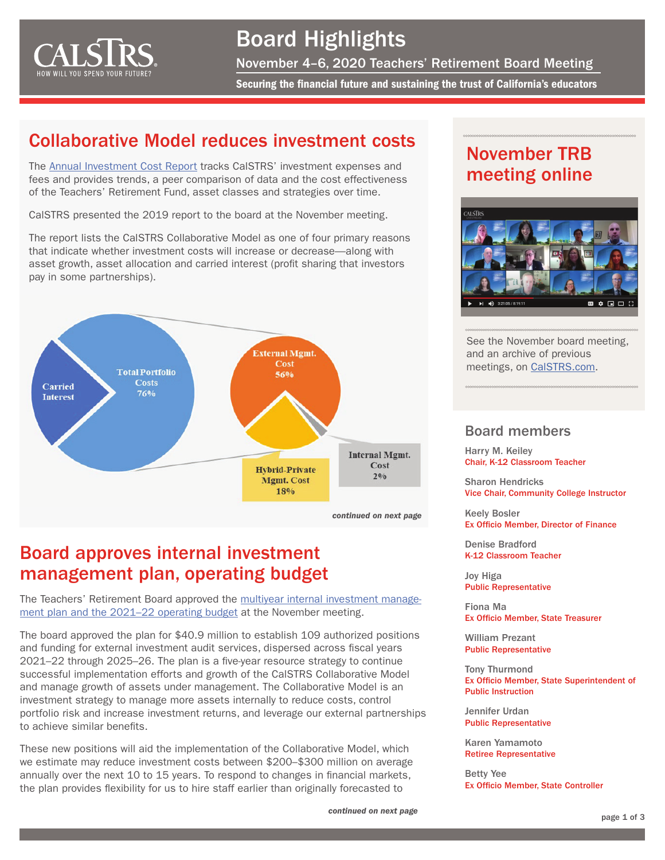<span id="page-0-0"></span>

# Board Highlights

November 4–6, 2020 Teachers' Retirement Board Meeting

Securing the financial future and sustaining the trust of California's educators

### Collaborative Model reduces investment costs

The [Annual Investment Cost Report](https://resources.calstrs.com/publicdocs/Page/CommonPage.aspx?PageName=DocumentDownload&Id=6776fce5-c7a2-44ae-9168-729b62fe007a) tracks CalSTRS' investment expenses and fees and provides trends, a peer comparison of data and the cost effectiveness of the Teachers' Retirement Fund, asset classes and strategies over time.

CalSTRS presented the 2019 report to the board at the November meeting.

The report lists the CalSTRS Collaborative Model as one of four primary reasons that indicate whether investment costs will increase or decrease—along with asset growth, asset allocation and carried interest (profit sharing that investors pay in some partnerships).



### Board approves internal investment management plan, operating budget

The Teachers' Retirement Board approved the [multiyear internal investment manage](https://resources.calstrs.com/publicdocs/Page/CommonPage.aspx?PageName=DocumentDownload&Id=600715d7-b643-4d4b-8630-9fc58bbca052)ment plan and the 2021-22 operating budget at the November meeting.

The board approved the plan for \$40.9 million to establish 109 authorized positions and funding for external investment audit services, dispersed across fiscal years 2021–22 through 2025–26. The plan is a five-year resource strategy to continue successful implementation efforts and growth of the CalSTRS Collaborative Model and manage growth of assets under management. The Collaborative Model is an investment strategy to manage more assets internally to reduce costs, control portfolio risk and increase investment returns, and leverage our external partnerships to achieve similar benefits.

These new positions will aid the implementation of the Collaborative Model, which we estimate may reduce investment costs between \$200–\$300 million on average annually over the next 10 to 15 years. To respond to changes in financial markets, the plan provides flexibility for us to hire staff earlier than originally forecasted to

## November TRB meeting online



See the November board meeting, and an archive of previous meetings, on [CalSTRS.com](https://www.calstrs.com/board-meeting-video-archive).

### Board members

Harry M. Keiley Chair, K-12 Classroom Teacher

Sharon Hendricks Vice Chair, Community College Instructor

Keely Bosler Ex Officio Member, Director of Finance

Denise Bradford K-12 Classroom Teacher

Joy Higa Public Representative

Fiona Ma Ex Officio Member, State Treasurer

William Prezant Public Representative

Tony Thurmond Ex Officio Member, State Superintendent of Public Instruction

Jennifer Urdan Public Representative

Karen Yamamoto Retiree Representative

Betty Yee Ex Officio Member, State Controller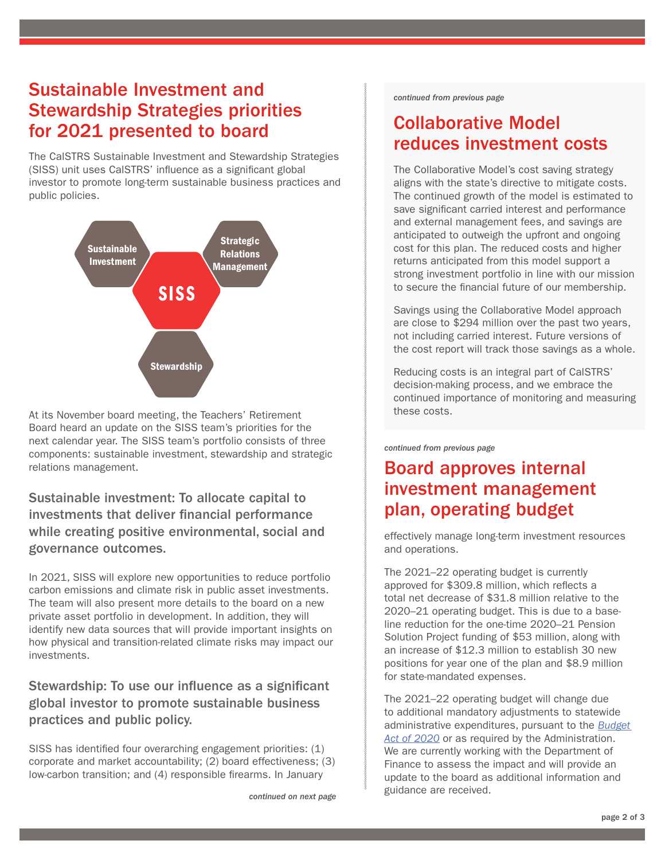### <span id="page-1-0"></span>Sustainable Investment and Stewardship Strategies priorities for 2021 presented to board

The CalSTRS Sustainable Investment and Stewardship Strategies (SISS) unit uses CalSTRS' influence as a significant global investor to promote long-term sustainable business practices and public policies.



At its November board meeting, the Teachers' Retirement Board heard an update on the SISS team's priorities for the next calendar year. The SISS team's portfolio consists of three components: sustainable investment, stewardship and strategic relations management.

Sustainable investment: To allocate capital to investments that deliver financial performance while creating positive environmental, social and governance outcomes.

In 2021, SISS will explore new opportunities to reduce portfolio carbon emissions and climate risk in public asset investments. The team will also present more details to the board on a new private asset portfolio in development. In addition, they will identify new data sources that will provide important insights on how physical and transition-related climate risks may impact our investments.

Stewardship: To use our influence as a significant global investor to promote sustainable business practices and public policy.

SISS has identified four overarching engagement priorities: (1) corporate and market accountability; (2) board effectiveness; (3) low-carbon transition; and (4) responsible firearms. In January

*[continued on next page](#page-2-0)*

*[continued from previous page](#page-0-0)*

## Collaborative Model reduces investment costs

The Collaborative Model's cost saving strategy aligns with the state's directive to mitigate costs. The continued growth of the model is estimated to save significant carried interest and performance and external management fees, and savings are anticipated to outweigh the upfront and ongoing cost for this plan. The reduced costs and higher returns anticipated from this model support a strong investment portfolio in line with our mission to secure the financial future of our membership.

Savings using the Collaborative Model approach are close to \$294 million over the past two years, not including carried interest. Future versions of the cost report will track those savings as a whole.

Reducing costs is an integral part of CalSTRS' decision-making process, and we embrace the continued importance of monitoring and measuring these costs.

### *[continued from previous page](#page-0-0)*

### Board approves internal investment management plan, operating budget

effectively manage long-term investment resources and operations.

The 2021–22 operating budget is currently approved for \$309.8 million, which reflects a total net decrease of \$31.8 million relative to the 2020–21 operating budget. This is due to a baseline reduction for the one-time 2020–21 Pension Solution Project funding of \$53 million, along with an increase of \$12.3 million to establish 30 new positions for year one of the plan and \$8.9 million for state-mandated expenses.

The 2021–22 operating budget will change due to additional mandatory adjustments to statewide administrative expenditures, pursuant to the *[Budget](http://leginfo.legislature.ca.gov/faces/billTextClient.xhtml?bill_id=201920200SB74)  [Act of 2020](http://leginfo.legislature.ca.gov/faces/billTextClient.xhtml?bill_id=201920200SB74)* or as required by the Administration. We are currently working with the Department of Finance to assess the impact and will provide an update to the board as additional information and guidance are received.